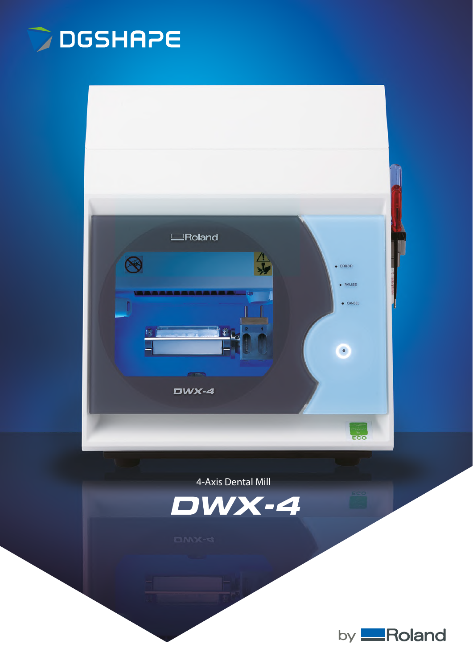



## **4-Axis Dental Mill**



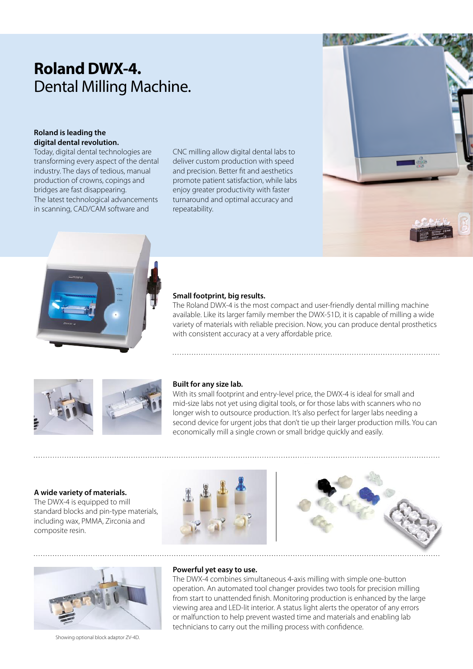# **Roland DWX-4.** Dental Milling Machine.

#### **Roland is leading the digital dental revolution.**

Today, digital dental technologies are transforming every aspect of the dental industry. The days of tedious, manual production of crowns, copings and bridges are fast disappearing. The latest technological advancements in scanning, CAD/CAM software and

CNC milling allow digital dental labs to deliver custom production with speed and precision. Better fit and aesthetics promote patient satisfaction, while labs enjoy greater productivity with faster turnaround and optimal accuracy and repeatability.

### **Small footprint, big results.**

The Roland DWX-4 is the most compact and user-friendly dental milling machine available. Like its larger family member the DWX-51D, it is capable of milling a wide variety of materials with reliable precision. Now, you can produce dental prosthetics with consistent accuracy at a very affordable price.



#### **Built for any size lab.**

With its small footprint and entry-level price, the DWX-4 is ideal for small and mid-size labs not yet using digital tools, or for those labs with scanners who no longer wish to outsource production. It's also perfect for larger labs needing a second device for urgent jobs that don't tie up their larger production mills. You can economically mill a single crown or small bridge quickly and easily.

#### **A wide variety of materials.**

The DWX-4 is equipped to mill standard blocks and pin-type materials, including wax, PMMA, Zirconia and composite resin.







Showing optional block adaptor ZV-4D.

#### **Powerful yet easy to use.**

The DWX-4 combines simultaneous 4-axis milling with simple one-button operation. An automated tool changer provides two tools for precision milling from start to unattended finish. Monitoring production is enhanced by the large viewing area and LED-lit interior. A status light alerts the operator of any errors or malfunction to help prevent wasted time and materials and enabling lab technicians to carry out the milling process with confidence.

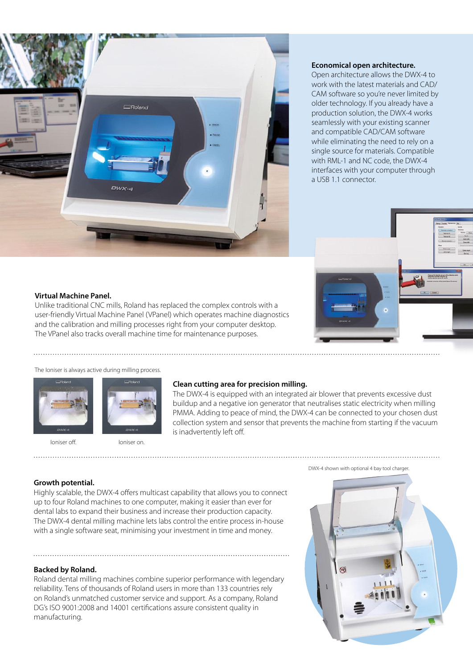

#### **Economical open architecture.**

Open architecture allows the DWX-4 to work with the latest materials and CAD/ CAM software so you're never limited by older technology. If you already have a production solution, the DWX-4 works seamlessly with your existing scanner and compatible CAD/CAM software while eliminating the need to rely on a single source for materials. Compatible with RML-1 and NC code, the DWX-4 interfaces with your computer through a USB 1.1 connector.



#### **Virtual Machine Panel.**

Unlike traditional CNC mills, Roland has replaced the complex controls with a user-friendly Virtual Machine Panel (VPanel) which operates machine diagnostics and the calibration and milling processes right from your computer desktop. The VPanel also tracks overall machine time for maintenance purposes.

#### The Ioniser is always active during milling process.





#### **Clean cutting area for precision milling.**

The DWX-4 is equipped with an integrated air blower that prevents excessive dust buildup and a negative ion generator that neutralises static electricity when milling PMMA. Adding to peace of mind, the DWX-4 can be connected to your chosen dust collection system and sensor that prevents the machine from starting if the vacuum is inadvertently left off.

Ioniser off. **Ioniser on** 

#### DWX-4 shown with optional 4 bay tool charger.

#### **Growth potential.**

Highly scalable, the DWX-4 offers multicast capability that allows you to connect up to four Roland machines to one computer, making it easier than ever for dental labs to expand their business and increase their production capacity. The DWX-4 dental milling machine lets labs control the entire process in-house with a single software seat, minimising your investment in time and money.

#### **Backed by Roland.**

Roland dental milling machines combine superior performance with legendary reliability. Tens of thousands of Roland users in more than 133 countries rely on Roland's unmatched customer service and support. As a company, Roland DG's ISO 9001:2008 and 14001 certifications assure consistent quality in manufacturing.